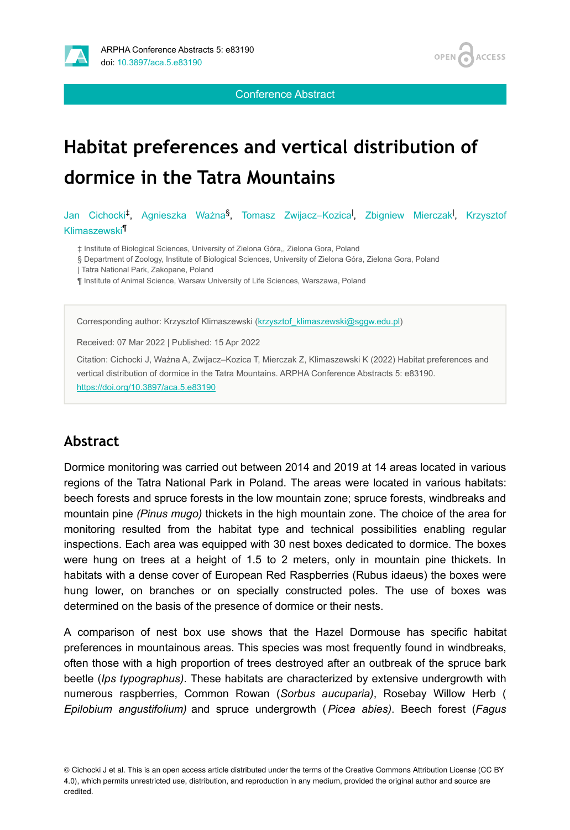

**ACCESS** OPEN 4

Conference Abstract

# **Habitat preferences and vertical distribution of dormice in the Tatra Mountains**

Jan Cichocki<sup>‡</sup>, Agnieszka Ważna<sup>§</sup>, Tomasz Zwijacz–Kozica<sup>l</sup>, Zbigniew Mierczak<sup>l</sup>, Krzysztof Klimaszewski ¶

‡ Institute of Biological Sciences, University of Zielona Góra,, Zielona Gora, Poland

§ Department of Zoology, Institute of Biological Sciences, University of Zielona Góra, Zielona Gora, Poland

| Tatra National Park, Zakopane, Poland

¶ Institute of Animal Science, Warsaw University of Life Sciences, Warszawa, Poland

Corresponding author: Krzysztof Klimaszewski ([krzysztof\\_klimaszewski@sggw.edu.pl\)](mailto:krzysztof_klimaszewski@sggw.edu.pl)

Received: 07 Mar 2022 | Published: 15 Apr 2022

Citation: Cichocki J, Ważna A, Zwijacz–Kozica T, Mierczak Z, Klimaszewski K (2022) Habitat preferences and vertical distribution of dormice in the Tatra Mountains. ARPHA Conference Abstracts 5: e83190. <https://doi.org/10.3897/aca.5.e83190>

#### **Abstract**

Dormice monitoring was carried out between 2014 and 2019 at 14 areas located in various regions of the Tatra National Park in Poland. The areas were located in various habitats: beech forests and spruce forests in the low mountain zone; spruce forests, windbreaks and mountain pine *(Pinus mugo)* thickets in the high mountain zone. The choice of the area for monitoring resulted from the habitat type and technical possibilities enabling regular inspections. Each area was equipped with 30 nest boxes dedicated to dormice. The boxes were hung on trees at a height of 1.5 to 2 meters, only in mountain pine thickets. In habitats with a dense cover of European Red Raspberries (Rubus idaeus) the boxes were hung lower, on branches or on specially constructed poles. The use of boxes was determined on the basis of the presence of dormice or their nests.

A comparison of nest box use shows that the Hazel Dormouse has specific habitat preferences in mountainous areas. This species was most frequently found in windbreaks, often those with a high proportion of trees destroyed after an outbreak of the spruce bark beetle (*Ips typographus)*. These habitats are characterized by extensive undergrowth with numerous raspberries, Common Rowan (*Sorbus aucuparia)*, Rosebay Willow Herb ( *Epilobium angustifolium)* and spruce undergrowth (*Picea abies)*. Beech forest (*Fagus*

<sup>©</sup> Cichocki J et al. This is an open access article distributed under the terms of the Creative Commons Attribution License (CC BY 4.0), which permits unrestricted use, distribution, and reproduction in any medium, provided the original author and source are credited.